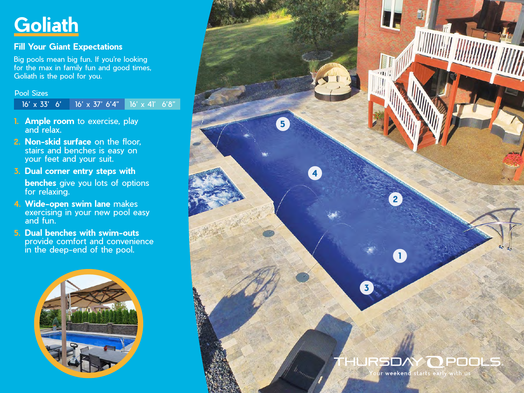## **Goliath**

### **Fill Your Giant Expectations**

Big pools mean big fun. If you're looking for the max in family fun and good times, Goliath is the pool for you.

Pool Sizes

16' x 33' 6' 16' x 37' 6'4" 16' x 41' 6'8"

- **1. Ample room** to exercise, play and relax.
- **2. Non-skid surface** on the floor, stairs and benches is easy on your feet and your suit.
- **3. Dual corner entry steps with benches** give you lots of options for relaxing.
- **4. Wide-open swim lane** makes exercising in your new pool easy and fun.
- **5. Dual benches with swim-outs** provide comfort and convenience in the deep-end of the pool.